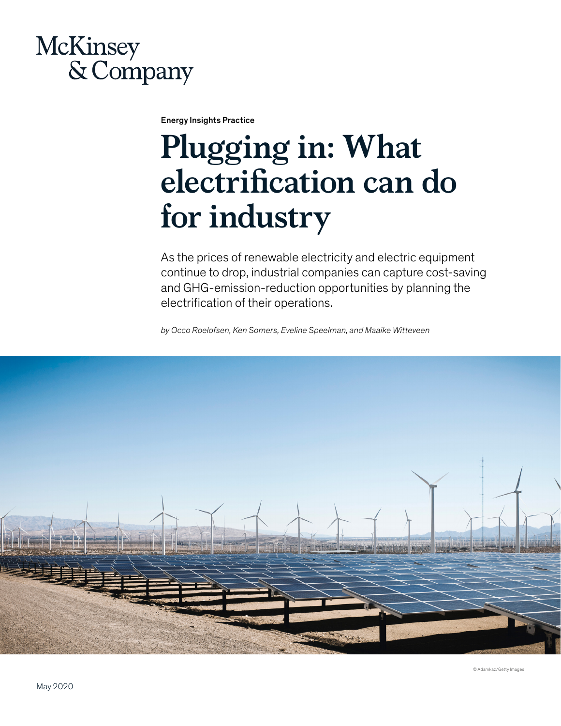# **McKinsey** & Company

Energy Insights Practice

# **Plugging in: What electrification can do for industry**

As the prices of renewable electricity and electric equipment continue to drop, industrial companies can capture cost-saving and GHG-emission-reduction opportunities by planning the electrification of their operations.

*by Occo Roelofsen, Ken Somers, Eveline Speelman, and Maaike Witteveen*



© Adamkaz/Getty Images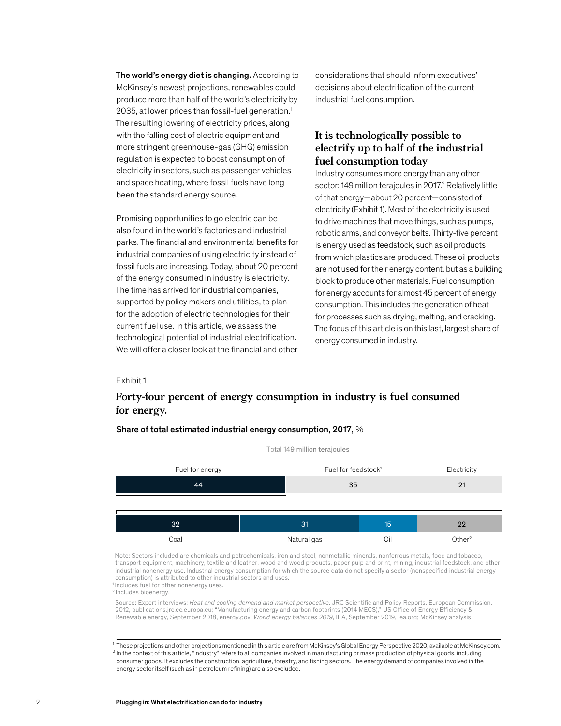The world's energy diet is changing. According to McKinsey's newest projections, renewables could produce more than half of the world's electricity by 2035, at lower prices than fossil-fuel generation.1 The resulting lowering of electricity prices, along with the falling cost of electric equipment and more stringent greenhouse-gas (GHG) emission regulation is expected to boost consumption of electricity in sectors, such as passenger vehicles and space heating, where fossil fuels have long been the standard energy source.

The time has arrived for industrial companies, supported by policy makers and utilities, to plan for the adoption of electric technologies for the current fuel use. In this article, we assess the Promising opportunities to go electric can be also found in the world's factories and industrial parks. The financial and environmental benefits for industrial companies of using electricity instead of fossil fuels are increasing. Today, about 20 percent of the energy consumed in industry is electricity. for the adoption of electric technologies for their technological potential of industrial electrification. We will offer a closer look at the financial and other

considerations that should inform executives' decisions about electrification of the current industrial fuel consumption.

### **It is technologically possible to electrify up to half of the industrial fuel consumption today**

Industry consumes more energy than any other sector: 149 million terajoules in 2017.<sup>2</sup> Relatively little of that energy—about 20 percent—consisted of electricity (Exhibit 1). Most of the electricity is used to drive machines that move things, such as pumps, robotic arms, and conveyor belts. Thirty-five percent is energy used as feedstock, such as oil products from which plastics are produced. These oil products are not used for their energy content, but as a building block to produce other materials. Fuel consumption for energy accounts for almost 45 percent of energy consumption. This includes the generation of heat for processes such as drying, melting, and cracking. The focus of this article is on this last, largest share of energy consumed in industry.

#### Exhibit 1

### **Forty-four percent of energy consumption in industry is fuel consumed for energy.**

#### Share of total estimated industrial energy consumption, 2017, %



1 Note: Sectors included are chemicals and petrochemicals, iron and steel, nonmetallic minerals, nonferrous metals, food and tobacco, transport equipment, machinery, textile and leather, wood and wood products, paper pulp and print, mining, industrial feedstock, and other industrial nonenergy use. Industrial energy consumption for which the source data do not specify a sector (nonspecified industrial energy consumption) is attributed to other industrial sectors and uses. <sup>1</sup> Includes fuel for other nonenergy uses.

2 Includes bioenergy.

Source: Expert interviews; *Heat and cooling demand and market perspective*, JRC Scientific and Policy Reports, European Commission, 2012, publications.jrc.ec.europa.eu; "Manufacturing energy and carbon footprints (2014 MECS)," US Office of Energy Efficiency & Renewable energy, September 2018, energy.gov; *World energy balances 2019*, IEA, September 2019, iea.org; McKinsey analysis

<sup>1</sup> These projections and other projections mentioned in this article are from McKinsey's Global Energy Perspective 2020, available at McKinsey.com.  $2$  In the context of this article, "industry" refers to all companies involved in manufacturing or mass production of physical goods, including consumer goods. It excludes the construction, agriculture, forestry, and fishing sectors. The energy demand of companies involved in the energy sector itself (such as in petroleum refining) are also excluded.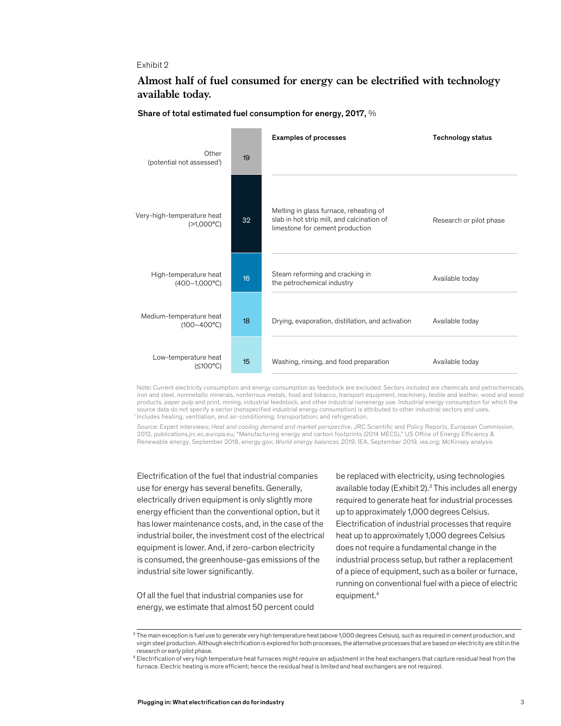### Exhibit 2

### Almost half of fuel consumed for energy can be electrified with technology **available today.**



Share of total estimated fuel consumption for energy, 2017, %

Note: Current electricity consumption and energy consumption as feedstock are excluded. Sectors included are chemicals and petrochemicals, iron and steel, nonmetallic minerals, nonferrous metals, food and tobacco, transport equipment, machinery, textile and leather, wood and wood products, paper pulp and print, mining, industrial feedstock, and other industrial nonenergy use. Industrial energy consumption for which the source data do not specify a sector (nonspecified industrial energy consumption) is attributed to other industrial sectors and uses. 1 Includes heating, ventilation, and air-conditioning; transportation; and refrigeration.

Source: Expert interviews; *Heat and cooling demand and market perspective*, JRC Scientific and Policy Reports, European Commission, 2012, publications.jrc.ec.europa.eu; "Manufacturing energy and carbon footprints (2014 MECS)," US Office of Energy Efficiency & Renewable energy, September 2018, energy.gov; *World energy balances 2019*, IEA, September 2019, iea.org; McKinsey analysis

Electrification of the fuel that industrial companies use for energy has several benefits. Generally, electrically driven equipment is only slightly more energy efficient than the conventional option, but it has lower maintenance costs, and, in the case of the industrial boiler, the investment cost of the electrical equipment is lower. And, if zero-carbon electricity is consumed, the greenhouse-gas emissions of the industrial site lower significantly.

Of all the fuel that industrial companies use for energy, we estimate that almost 50 percent could be replaced with electricity, using technologies available today (Exhibit 2).<sup>3</sup> This includes all energy required to generate heat for industrial processes up to approximately 1,000 degrees Celsius. Electrification of industrial processes that require heat up to approximately 1,000 degrees Celsius does not require a fundamental change in the industrial process setup, but rather a replacement of a piece of equipment, such as a boiler or furnace, running on conventional fuel with a piece of electric equipment.4

 $^3$  The main exception is fuel use to generate very high temperature heat (above 1,000 degrees Celsius), such as required in cement production, and virgin steel production. Although electrification is explored for both processes, the alternative processes that are based on electricity are still in the research or early pilot phase.

 $^4$  Electrification of very high temperature heat furnaces might require an adjustment in the heat exchangers that capture residual heat from the furnace. Electric heating is more efficient; hence the residual heat is limited and heat exchangers are not required.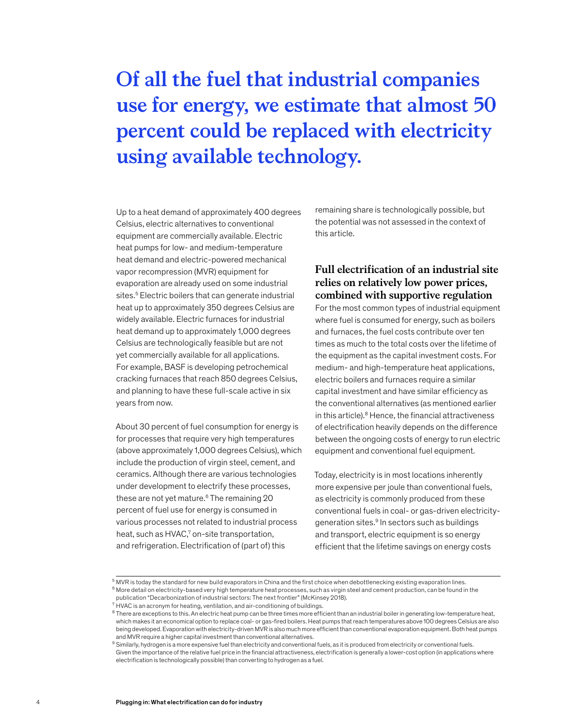# **Of all the fuel that industrial companies use for energy, we estimate that almost 50 percent could be replaced with electricity using available technology.**

Up to a heat demand of approximately 400 degrees Celsius, electric alternatives to conventional equipment are commercially available. Electric heat pumps for low- and medium-temperature heat demand and electric-powered mechanical vapor recompression (MVR) equipment for evaporation are already used on some industrial sites.<sup>5</sup> Electric boilers that can generate industrial heat up to approximately 350 degrees Celsius are widely available. Electric furnaces for industrial heat demand up to approximately 1,000 degrees Celsius are technologically feasible but are not yet commercially available for all applications. For example, BASF is developing petrochemical cracking furnaces that reach 850 degrees Celsius, and planning to have these full-scale active in six years from now.

About 30 percent of fuel consumption for energy is for processes that require very high temperatures (above approximately 1,000 degrees Celsius), which include the production of virgin steel, cement, and ceramics. Although there are various technologies under development to electrify these processes, these are not yet mature.<sup>6</sup> The remaining 20 percent of fuel use for energy is consumed in various processes not related to industrial process heat, such as HVAC,<sup>7</sup> on-site transportation, and refrigeration. Electrification of (part of) this

remaining share is technologically possible, but the potential was not assessed in the context of this article.

### **Full electrification of an industrial site relies on relatively low power prices, combined with supportive regulation**

For the most common types of industrial equipment where fuel is consumed for energy, such as boilers and furnaces, the fuel costs contribute over ten times as much to the total costs over the lifetime of the equipment as the capital investment costs. For medium- and high-temperature heat applications, electric boilers and furnaces require a similar capital investment and have similar efficiency as the conventional alternatives (as mentioned earlier in this article). $8$  Hence, the financial attractiveness of electrification heavily depends on the difference between the ongoing costs of energy to run electric equipment and conventional fuel equipment.

Today, electricity is in most locations inherently more expensive per joule than conventional fuels, as electricity is commonly produced from these conventional fuels in coal- or gas-driven electricitygeneration sites.<sup>9</sup> In sectors such as buildings and transport, electric equipment is so energy efficient that the lifetime savings on energy costs

 $5$  MVR is today the standard for new build evaporators in China and the first choice when debottlenecking existing evaporation lines.  $^6$  More detail on electricity-based very high temperature heat processes, such as virgin steel and cement production, can be found in the

publication "Decarbonization of industrial sectors: The next frontier" (McKinsey 2018).  $7$  HVAC is an acronym for heating, ventilation, and air-conditioning of buildings.

 $8$  There are exceptions to this. An electric heat pump can be three times more efficient than an industrial boiler in generating low-temperature heat, which makes it an economical option to replace coal- or gas-fired boilers. Heat pumps that reach temperatures above 100 degrees Celsius are also being developed. Evaporation with electricity-driven MVR is also much more efficient than conventional evaporation equipment. Both heat pumps and MVR require a higher capital investment than conventional alternatives.

 $^9$  Similarly, hydrogen is a more expensive fuel than electricity and conventional fuels, as it is produced from electricity or conventional fuels. Given the importance of the relative fuel price in the financial attractiveness, electrification is generally a lower-cost option (in applications where electrification is technologically possible) than converting to hydrogen as a fuel.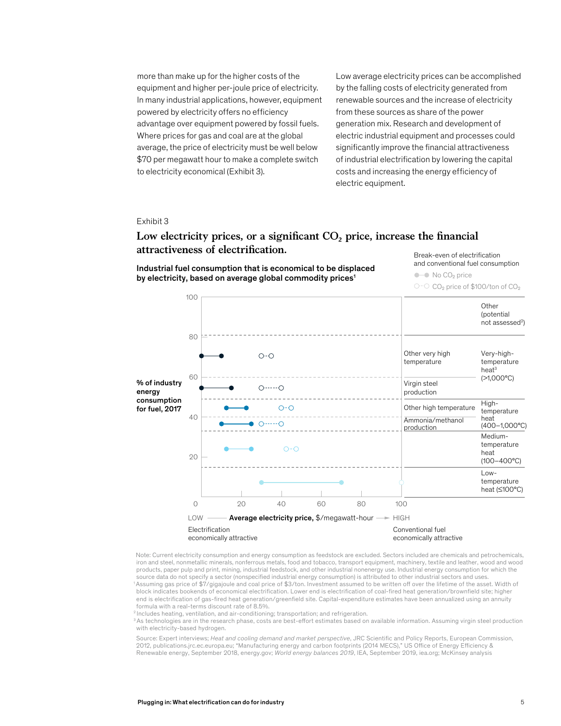more than make up for the higher costs of the equipment and higher per-joule price of electricity. In many industrial applications, however, equipment powered by electricity offers no efficiency advantage over equipment powered by fossil fuels. Where prices for gas and coal are at the global average, the price of electricity must be well below \$70 per megawatt hour to make a complete switch to electricity economical (Exhibit 3).

Low average electricity prices can be accomplished by the falling costs of electricity generated from renewable sources and the increase of electricity from these sources as share of the power generation mix. Research and development of electric industrial equipment and processes could significantly improve the financial attractiveness of industrial electrification by lowering the capital costs and increasing the energy efficiency of electric equipment.

#### Exhibit 3

## Low electricity prices, or a significant CO<sub>2</sub> price, increase the financial **attractiveness of electrication.**

Industrial fuel consumption that is economical to be displaced by electricity, based on average global commodity prices<sup>1</sup>

Break-even of electrification and conventional fuel consumption

 $\bullet$  No CO<sub>2</sub> price

○ O CO<sub>2</sub> price of \$100/ton of CO<sub>2</sub>



<sup>1</sup> Note: Current electricity consumption and energy consumption as feedstock are excluded. Sectors included are chemicals and petrochemicals, iron and steel, nonmetallic minerals, nonferrous metals, food and tobacco, transport equipment, machinery, textile and leather, wood and wood products, paper pulp and print, mining, industrial feedstock, and other industrial nonenergy use. Industrial energy consumption for which the source data do not specify a sector (nonspecified industrial energy consumption) is attributed to other industrial sectors and uses. 1 Assuming gas price of \$7/gigajoule and coal price of \$3/ton. Investment assumed to be written off over the lifetime of the asset. Width of block indicates bookends of economical electrification. Lower end is electrification of coal-fired heat generation/brownfield site; higher end is electrification of gas-fired heat generation/greenfield site. Capital-expenditure estimates have been annualized using an annuity

formula with a real-terms discount rate of 8.5%. 2 Includes heating, ventilation, and air-conditioning; transportation; and refrigeration.

<sup>3</sup> As technologies are in the research phase, costs are best-effort estimates based on available information. Assuming virgin steel production with electricity-based hydrogen.

Source: Expert interviews; *Heat and cooling demand and market perspective*, JRC Scientific and Policy Reports, European Commission, 2012, publications.jrc.ec.europa.eu; "Manufacturing energy and carbon footprints (2014 MECS)," US Office of Energy Efficiency & Renewable energy, September 2018, energy.gov; *World energy balances 2019*, IEA, September 2019, iea.org; McKinsey analysis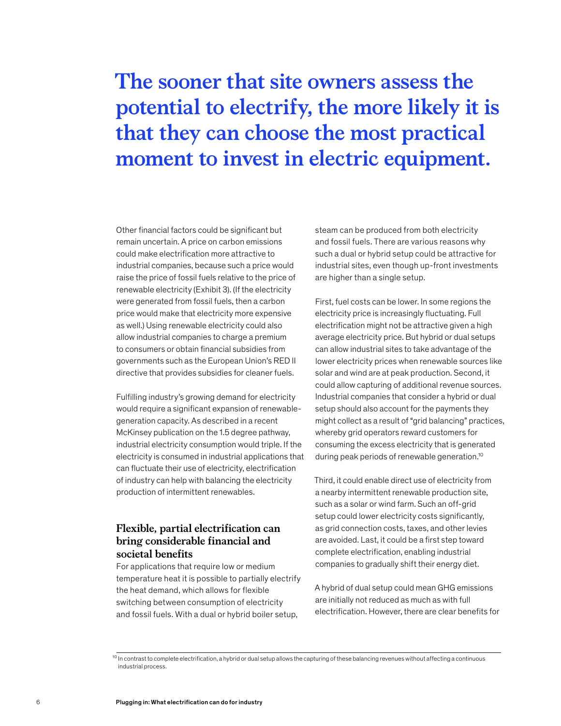# **The sooner that site owners assess the potential to electrify, the more likely it is that they can choose the most practical moment to invest in electric equipment.**

Other financial factors could be significant but remain uncertain. A price on carbon emissions could make electrification more attractive to industrial companies, because such a price would raise the price of fossil fuels relative to the price of renewable electricity (Exhibit 3). (If the electricity were generated from fossil fuels, then a carbon price would make that electricity more expensive as well.) Using renewable electricity could also allow industrial companies to charge a premium to consumers or obtain financial subsidies from governments such as the European Union's RED II directive that provides subsidies for cleaner fuels.

Fulfilling industry's growing demand for electricity would require a significant expansion of renewablegeneration capacity. As described in a recent McKinsey publication on the 1.5 degree pathway, industrial electricity consumption would triple. If the electricity is consumed in industrial applications that can fluctuate their use of electricity, electrification of industry can help with balancing the electricity production of intermittent renewables.

### **Flexible, partial electrification can bring considerable financial and societal benefits**

For applications that require low or medium temperature heat it is possible to partially electrify the heat demand, which allows for flexible switching between consumption of electricity and fossil fuels. With a dual or hybrid boiler setup,

steam can be produced from both electricity and fossil fuels. There are various reasons why such a dual or hybrid setup could be attractive for industrial sites, even though up-front investments are higher than a single setup.

First, fuel costs can be lower. In some regions the electricity price is increasingly fluctuating. Full electrification might not be attractive given a high average electricity price. But hybrid or dual setups can allow industrial sites to take advantage of the lower electricity prices when renewable sources like solar and wind are at peak production. Second, it could allow capturing of additional revenue sources. Industrial companies that consider a hybrid or dual setup should also account for the payments they might collect as a result of "grid balancing" practices, whereby grid operators reward customers for consuming the excess electricity that is generated during peak periods of renewable generation.10

Third, it could enable direct use of electricity from a nearby intermittent renewable production site, such as a solar or wind farm. Such an off-grid setup could lower electricity costs significantly, as grid connection costs, taxes, and other levies are avoided. Last, it could be a first step toward complete electrification, enabling industrial companies to gradually shift their energy diet.

A hybrid of dual setup could mean GHG emissions are initially not reduced as much as with full electrification. However, there are clear benefits for

 $10$  In contrast to complete electrification, a hybrid or dual setup allows the capturing of these balancing revenues without affecting a continuous industrial process.